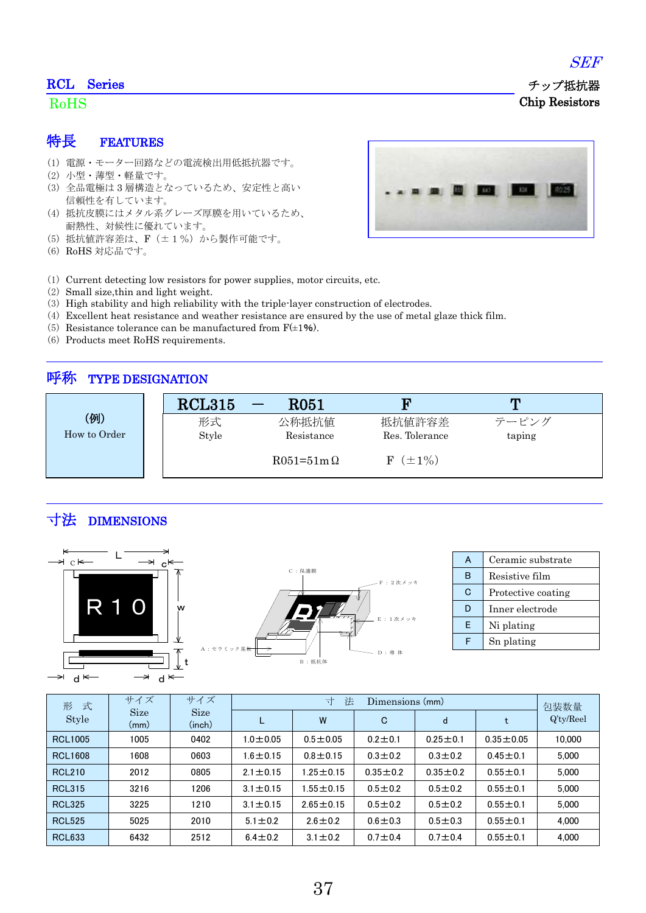### RCL Series

### RoHS

#### 特長 FEATURES

- (1) 電源・モーター回路などの電流検出用低抵抗器です。
- (2) 小型・薄型・軽量です。
- (3) 全品電極は 3 層構造となっているため、安定性と高い 信頼性を有しています。
- (4) 抵抗皮膜にはメタル系グレーズ厚膜を用いているため、 耐熱性、対候性に優れています。
- (5) 抵抗値許容差は、F(±1%)から製作可能です。
- (6) RoHS 対応品です。



- (1) Current detecting low resistors for power supplies, motor circuits, etc.
- (2) Small size,thin and light weight.
- (3) High stability and high reliability with the triple-layer construction of electrodes.
- (4) Excellent heat resistance and weather resistance are ensured by the use of metal glaze thick film.
- (5) Resistance tolerance can be manufactured from  $F(\pm 1\%)$ .
- (6) Products meet RoHS requirements.

# 呼称 TYPE DESIGNATION

|              | <b>RCL315</b> | ${\rm R}051$     | W                           | m      |
|--------------|---------------|------------------|-----------------------------|--------|
| (例)          | 形式            | 公称抵抗值            | 抵抗値許容差                      | テーピング  |
| How to Order | Style         | Resistance       | Res. Tolerance              | taping |
|              |               | $R051=51m\Omega$ | $(\pm 1\%)$<br>$\mathbf{F}$ |        |

# 寸法 DIMENSIONS





| A | Ceramic substrate  |  |  |
|---|--------------------|--|--|
| R | Resistive film     |  |  |
| C | Protective coating |  |  |
| D | Inner electrode    |  |  |
| E | Ni plating         |  |  |
|   | Sn plating         |  |  |

| 式<br>形         | サイズ                 | サイズ                   | 法<br>寸<br>Dimensions (mm) |                 |               |                |                 | 包装数量         |
|----------------|---------------------|-----------------------|---------------------------|-----------------|---------------|----------------|-----------------|--------------|
| Style          | <b>Size</b><br>(mm) | <b>Size</b><br>(inch) |                           | W               | C             | d              | t               | $Q'$ ty/Reel |
| <b>RCL1005</b> | 1005                | 0402                  | $1.0 \pm 0.05$            | $0.5 + 0.05$    | $0.2 + 0.1$   | $0.25 \pm 0.1$ | $0.35 \pm 0.05$ | 10.000       |
| <b>RCL1608</b> | 1608                | 0603                  | $1.6 \pm 0.15$            | $0.8 + 0.15$    | $0.3 \pm 0.2$ | $0.3 \pm 0.2$  | $0.45 \pm 0.1$  | 5.000        |
| <b>RCL210</b>  | 2012                | 0805                  | $2.1 \pm 0.15$            | 1.25 $\pm$ 0.15 | $0.35 + 0.2$  | $0.35 \pm 0.2$ | $0.55 \pm 0.1$  | 5.000        |
| <b>RCL315</b>  | 3216                | 1206                  | $3.1 \pm 0.15$            | $1.55 \pm 0.15$ | $0.5 \pm 0.2$ | $0.5 \pm 0.2$  | $0.55 \pm 0.1$  | 5.000        |
| <b>RCL325</b>  | 3225                | 1210                  | $3.1 \pm 0.15$            | $2.65 \pm 0.15$ | $0.5 + 0.2$   | $0.5 \pm 0.2$  | $0.55 \pm 0.1$  | 5.000        |
| <b>RCL525</b>  | 5025                | 2010                  | $5.1 \pm 0.2$             | $2.6 \pm 0.2$   | $0.6 \pm 0.3$ | $0.5 \pm 0.3$  | $0.55 \pm 0.1$  | 4.000        |
| <b>RCL633</b>  | 6432                | 2512                  | $6.4 \pm 0.2$             | $3.1 \pm 0.2$   | $0.7 + 0.4$   | $0.7 + 0.4$    | $0.55 \pm 0.1$  | 4.000        |





 チップ抵抗器 Chip Resistors